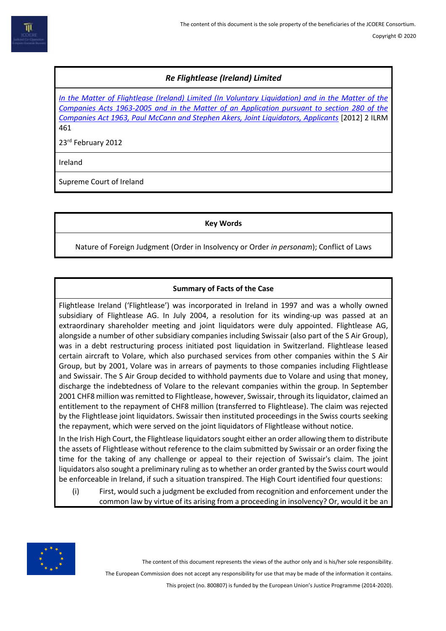# *Re Flightlease (Ireland) Limited*

*In the Matter of Flightlease [\(Ireland\) Limited \(In Voluntary Liquidation\) and in the Matter of the](https://www.bailii.org/ie/cases/IESC/2012/S12.html)  [Companies Acts 1963-2005 and in the Matter of an Application pursuant to section 280 of the](https://www.bailii.org/ie/cases/IESC/2012/S12.html)  [Companies Act 1963, Paul McCann and Stephen Akers, Joint Liquidators, Applicants](https://www.bailii.org/ie/cases/IESC/2012/S12.html)* [2012] 2 ILRM 461

23rd February 2012

Ireland

Supreme Court of Ireland

**Key Words**

Nature of Foreign Judgment (Order in Insolvency or Order *in personam*); Conflict of Laws

# **Summary of Facts of the Case**

Flightlease Ireland ('Flightlease') was incorporated in Ireland in 1997 and was a wholly owned subsidiary of Flightlease AG. In July 2004, a resolution for its winding-up was passed at an extraordinary shareholder meeting and joint liquidators were duly appointed. Flightlease AG, alongside a number of other subsidiary companies including Swissair (also part of the S Air Group), was in a debt restructuring process initiated post liquidation in Switzerland. Flightlease leased certain aircraft to Volare, which also purchased services from other companies within the S Air Group, but by 2001, Volare was in arrears of payments to those companies including Flightlease and Swissair. The S Air Group decided to withhold payments due to Volare and using that money, discharge the indebtedness of Volare to the relevant companies within the group. In September 2001 CHF8 million was remitted to Flightlease, however, Swissair, through its liquidator, claimed an entitlement to the repayment of CHF8 million (transferred to Flightlease). The claim was rejected by the Flightlease joint liquidators. Swissair then instituted proceedings in the Swiss courts seeking the repayment, which were served on the joint liquidators of Flightlease without notice.

In the Irish High Court, the Flightlease liquidators sought either an order allowing them to distribute the assets of Flightlease without reference to the claim submitted by Swissair or an order fixing the time for the taking of any challenge or appeal to their rejection of Swissair's claim. The joint liquidators also sought a preliminary ruling as to whether an order granted by the Swiss court would be enforceable in Ireland, if such a situation transpired. The High Court identified four questions:

(i) First, would such a judgment be excluded from recognition and enforcement under the common law by virtue of its arising from a proceeding in insolvency? Or, would it be an



The content of this document represents the views of the author only and is his/her sole responsibility.

The European Commission does not accept any responsibility for use that may be made of the information it contains.

This project (no. 800807) is funded by the European Union's Justice Programme (2014-2020).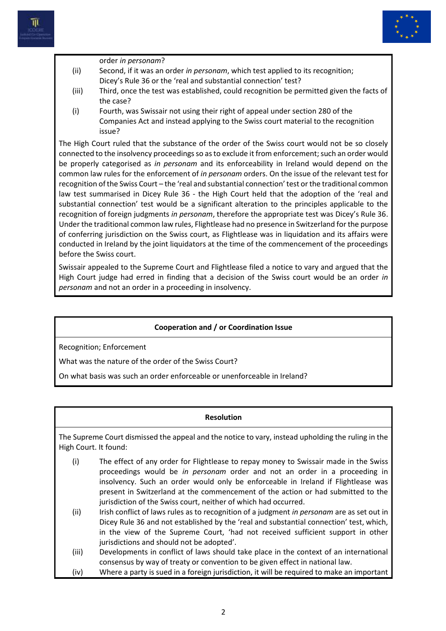



order *in personam*?

- (ii) Second, if it was an order *in personam*, which test applied to its recognition; Dicey's Rule 36 or the 'real and substantial connection' test?
- (iii) Third, once the test was established, could recognition be permitted given the facts of the case?
- (i) Fourth, was Swissair not using their right of appeal under section 280 of the Companies Act and instead applying to the Swiss court material to the recognition issue?

The High Court ruled that the substance of the order of the Swiss court would not be so closely connected to the insolvency proceedings so as to exclude it from enforcement; such an order would be properly categorised as *in personam* and its enforceability in Ireland would depend on the common law rules for the enforcement of *in personam* orders. On the issue of the relevant test for recognition of the Swiss Court – the 'real and substantial connection' test or the traditional common law test summarised in Dicey Rule 36 - the High Court held that the adoption of the 'real and substantial connection' test would be a significant alteration to the principles applicable to the recognition of foreign judgments *in personam*, therefore the appropriate test was Dicey's Rule 36. Under the traditional common law rules, Flightlease had no presence in Switzerland for the purpose of conferring jurisdiction on the Swiss court, as Flightlease was in liquidation and its affairs were conducted in Ireland by the joint liquidators at the time of the commencement of the proceedings before the Swiss court.

Swissair appealed to the Supreme Court and Flightlease filed a notice to vary and argued that the High Court judge had erred in finding that a decision of the Swiss court would be an order *in personam* and not an order in a proceeding in insolvency.

## **Cooperation and / or Coordination Issue**

Recognition; Enforcement

What was the nature of the order of the Swiss Court?

On what basis was such an order enforceable or unenforceable in Ireland?

#### **Resolution**

The Supreme Court dismissed the appeal and the notice to vary, instead upholding the ruling in the High Court. It found:

- (i) The effect of any order for Flightlease to repay money to Swissair made in the Swiss proceedings would be *in personam* order and not an order in a proceeding in insolvency. Such an order would only be enforceable in Ireland if Flightlease was present in Switzerland at the commencement of the action or had submitted to the jurisdiction of the Swiss court, neither of which had occurred.
- (ii) Irish conflict of laws rules as to recognition of a judgment *in personam* are as set out in Dicey Rule 36 and not established by the 'real and substantial connection' test, which, in the view of the Supreme Court, 'had not received sufficient support in other jurisdictions and should not be adopted'.
- (iii) Developments in conflict of laws should take place in the context of an international consensus by way of treaty or convention to be given effect in national law.
- (iv) Where a party is sued in a foreign jurisdiction, it will be required to make an important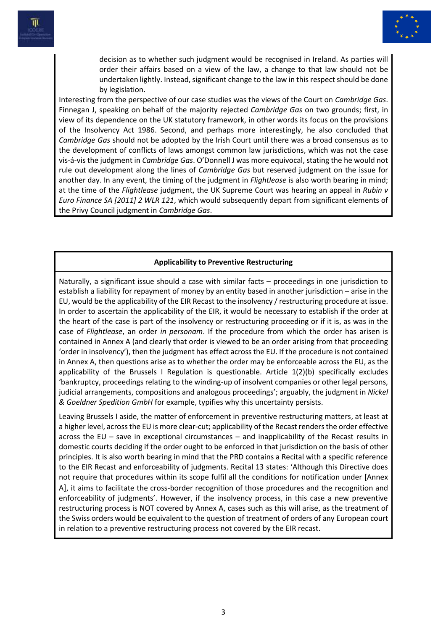

decision as to whether such judgment would be recognised in Ireland. As parties will order their affairs based on a view of the law, a change to that law should not be undertaken lightly. Instead, significant change to the law in this respect should be done by legislation.

Interesting from the perspective of our case studies was the views of the Court on *Cambridge Gas*. Finnegan J, speaking on behalf of the majority rejected *Cambridge Gas* on two grounds; first, in view of its dependence on the UK statutory framework, in other words its focus on the provisions of the Insolvency Act 1986. Second, and perhaps more interestingly, he also concluded that *Cambridge Gas* should not be adopted by the Irish Court until there was a broad consensus as to the development of conflicts of laws amongst common law jurisdictions, which was not the case vis-á-vis the judgment in *Cambridge Gas*. O'Donnell J was more equivocal, stating the he would not rule out development along the lines of *Cambridge Gas* but reserved judgment on the issue for another day. In any event, the timing of the judgment in *Flightlease* is also worth bearing in mind; at the time of the *Flightlease* judgment, the UK Supreme Court was hearing an appeal in *Rubin v Euro Finance SA [2011] 2 WLR 121*, which would subsequently depart from significant elements of the Privy Council judgment in *Cambridge Gas*.

### **Applicability to Preventive Restructuring**

Naturally, a significant issue should a case with similar facts – proceedings in one jurisdiction to establish a liability for repayment of money by an entity based in another jurisdiction – arise in the EU, would be the applicability of the EIR Recast to the insolvency / restructuring procedure at issue. In order to ascertain the applicability of the EIR, it would be necessary to establish if the order at the heart of the case is part of the insolvency or restructuring proceeding or if it is, as was in the case of *Flightlease*, an order *in personam*. If the procedure from which the order has arisen is contained in Annex A (and clearly that order is viewed to be an order arising from that proceeding 'order in insolvency'), then the judgment has effect across the EU. If the procedure is not contained in Annex A, then questions arise as to whether the order may be enforceable across the EU, as the applicability of the Brussels I Regulation is questionable. Article 1(2)(b) specifically excludes 'bankruptcy, proceedings relating to the winding-up of insolvent companies or other legal persons, judicial arrangements, compositions and analogous proceedings'; arguably, the judgment in *Nickel & Goeldner Spedition GmbH* for example, typifies why this uncertainty persists.

Leaving Brussels I aside, the matter of enforcement in preventive restructuring matters, at least at a higher level, across the EU is more clear-cut; applicability of the Recast renders the order effective across the EU – save in exceptional circumstances – and inapplicability of the Recast results in domestic courts deciding if the order ought to be enforced in that jurisdiction on the basis of other principles. It is also worth bearing in mind that the PRD contains a Recital with a specific reference to the EIR Recast and enforceability of judgments. Recital 13 states: 'Although this Directive does not require that procedures within its scope fulfil all the conditions for notification under [Annex A], it aims to facilitate the cross-border recognition of those procedures and the recognition and enforceability of judgments'. However, if the insolvency process, in this case a new preventive restructuring process is NOT covered by Annex A, cases such as this will arise, as the treatment of the Swiss orders would be equivalent to the question of treatment of orders of any European court in relation to a preventive restructuring process not covered by the EIR recast.